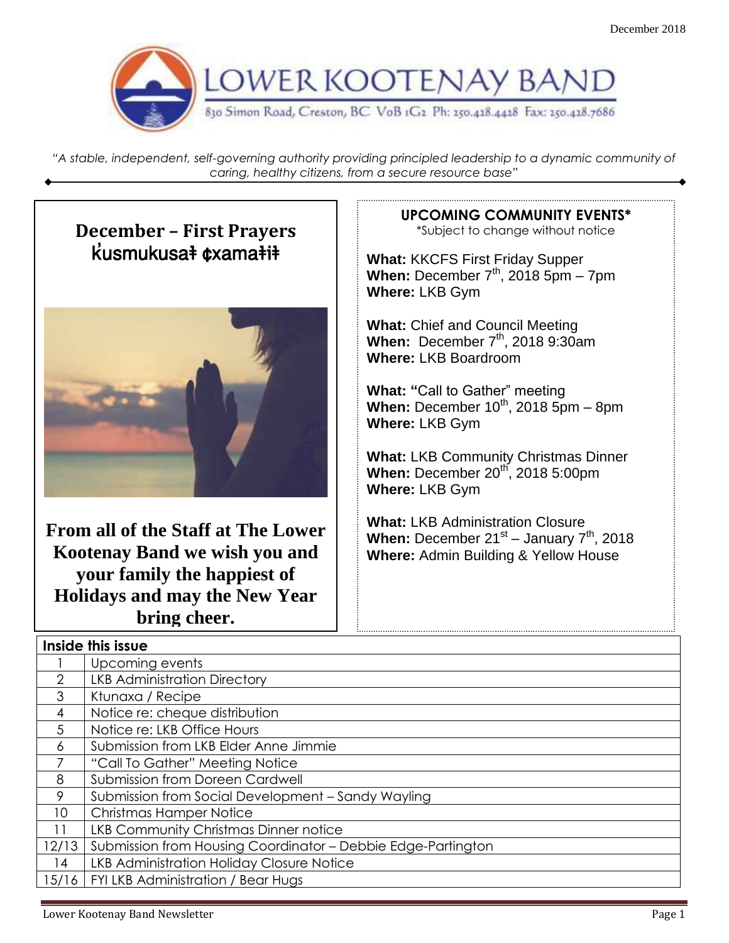

*"A stable, independent, self-governing authority providing principled leadership to a dynamic community of caring, healthy citizens, from a secure resource base"*

.

#### **December – First Prayers**  $k$ usmukusa $\frac{1}{2}$   $\frac{1}{2}$   $\frac{1}{2}$   $\frac{1}{2}$   $\frac{1}{2}$   $\frac{1}{2}$   $\frac{1}{2}$   $\frac{1}{2}$   $\frac{1}{2}$   $\frac{1}{2}$   $\frac{1}{2}$   $\frac{1}{2}$   $\frac{1}{2}$   $\frac{1}{2}$   $\frac{1}{2}$   $\frac{1}{2}$   $\frac{1}{2}$   $\frac{1}{2}$   $\frac{1}{2}$   $\frac{1}{2}$   $\frac{1}{2}$



**From all of the Staff at The Lower Kootenay Band we wish you and your family the happiest of Holidays and may the New Year bring cheer.**

#### **UPCOMING COMMUNITY EVENTS\***

\*Subject to change without notice

**What:** KKCFS First Friday Supper **When:** December  $7<sup>th</sup>$ , 2018 5pm – 7pm **Where:** LKB Gym

**What:** Chief and Council Meeting **When:** December 7th, 2018 9:30am **Where:** LKB Boardroom

**What: "**Call to Gather" meeting **When:** December 10<sup>th</sup>, 2018 5pm – 8pm **Where:** LKB Gym

**What:** LKB Community Christmas Dinner **When:** December 20<sup>th</sup>, 2018 5:00pm **Where:** LKB Gym

**What:** LKB Administration Closure When: December 21<sup>st</sup> – January 7<sup>th</sup>, 2018 **Where:** Admin Building & Yellow House

| Inside this issue |                                                              |  |  |  |
|-------------------|--------------------------------------------------------------|--|--|--|
|                   | Upcoming events                                              |  |  |  |
| 2                 | <b>LKB Administration Directory</b>                          |  |  |  |
| 3                 | Ktunaxa / Recipe                                             |  |  |  |
| 4                 | Notice re: cheque distribution                               |  |  |  |
| 5                 | Notice re: LKB Office Hours                                  |  |  |  |
| 6                 | Submission from LKB Elder Anne Jimmie                        |  |  |  |
|                   | "Call To Gather" Meeting Notice                              |  |  |  |
| 8                 | Submission from Doreen Cardwell                              |  |  |  |
| 9                 | Submission from Social Development - Sandy Wayling           |  |  |  |
| 10                | <b>Christmas Hamper Notice</b>                               |  |  |  |
| 11                | <b>LKB Community Christmas Dinner notice</b>                 |  |  |  |
| 12/13             | Submission from Housing Coordinator - Debbie Edge-Partington |  |  |  |
| 14                | <b>LKB Administration Holiday Closure Notice</b>             |  |  |  |
| 15/16             | FYI LKB Administration / Bear Hugs                           |  |  |  |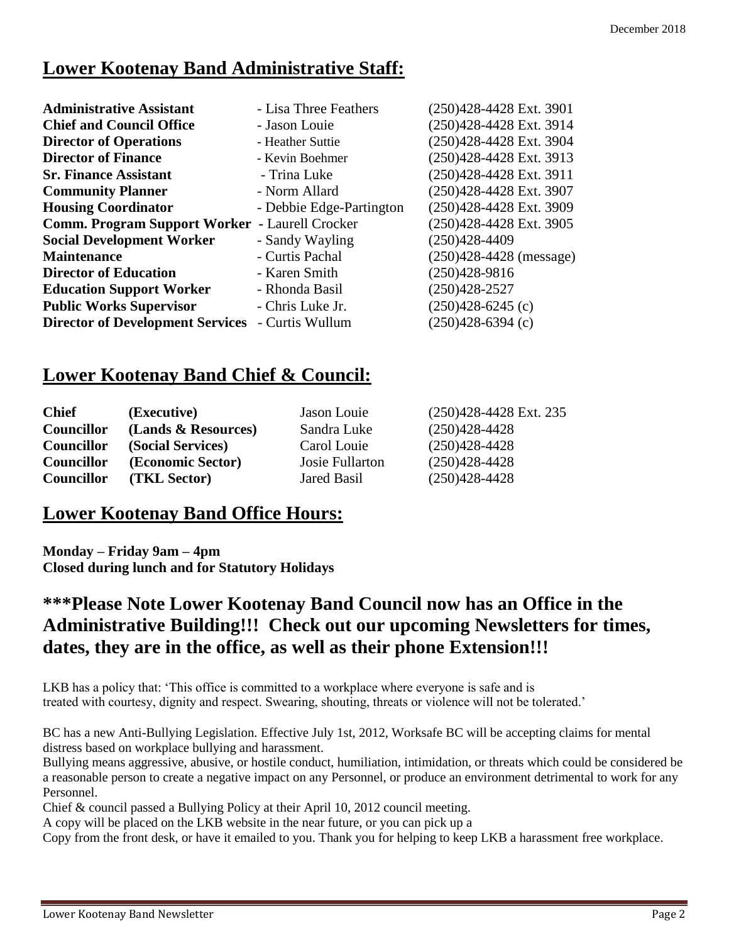#### **Lower Kootenay Band Administrative Staff:**

| - Lisa Three Feathers                                    | (250)428-4428 Ext. 3901     |
|----------------------------------------------------------|-----------------------------|
| - Jason Louie                                            | (250)428-4428 Ext. 3914     |
| - Heather Suttie                                         | (250)428-4428 Ext. 3904     |
| - Kevin Boehmer                                          | (250)428-4428 Ext. 3913     |
| - Trina Luke                                             | (250)428-4428 Ext. 3911     |
| - Norm Allard                                            | (250)428-4428 Ext. 3907     |
| - Debbie Edge-Partington                                 | (250)428-4428 Ext. 3909     |
| <b>Comm. Program Support Worker</b><br>- Laurell Crocker | (250)428-4428 Ext. 3905     |
| - Sandy Wayling                                          | (250)428-4409               |
| - Curtis Pachal                                          | $(250)428 - 4428$ (message) |
| - Karen Smith                                            | $(250)428-9816$             |
| - Rhonda Basil                                           | $(250)428 - 2527$           |
| - Chris Luke Jr.                                         | $(250)428 - 6245$ (c)       |
| - Curtis Wullum                                          | $(250)428-6394$ (c)         |
|                                                          |                             |

#### **Lower Kootenay Band Chief & Council:**

| <b>Chief</b>      | (Executive)         | Jason Louie     | (250)428-4428 Ext. 235 |
|-------------------|---------------------|-----------------|------------------------|
| <b>Councillor</b> | (Lands & Resources) | Sandra Luke     | $(250)428-4428$        |
| <b>Councillor</b> | (Social Services)   | Carol Louie     | $(250)428-4428$        |
| <b>Councillor</b> | (Economic Sector)   | Josie Fullarton | $(250)428 - 4428$      |
| <b>Councillor</b> | (TKL Sector)        | Jared Basil     | $(250)428 - 4428$      |

#### **Lower Kootenay Band Office Hours:**

**Monday – Friday 9am – 4pm Closed during lunch and for Statutory Holidays**

#### **\*\*\*Please Note Lower Kootenay Band Council now has an Office in the Administrative Building!!! Check out our upcoming Newsletters for times, dates, they are in the office, as well as their phone Extension!!!**

LKB has a policy that: 'This office is committed to a workplace where everyone is safe and is treated with courtesy, dignity and respect. Swearing, shouting, threats or violence will not be tolerated.'

BC has a new Anti-Bullying Legislation. Effective July 1st, 2012, Worksafe BC will be accepting claims for mental distress based on workplace bullying and harassment.

Bullying means aggressive, abusive, or hostile conduct, humiliation, intimidation, or threats which could be considered be a reasonable person to create a negative impact on any Personnel, or produce an environment detrimental to work for any Personnel.

Chief & council passed a Bullying Policy at their April 10, 2012 council meeting.

A copy will be placed on the LKB website in the near future, or you can pick up a

Copy from the front desk, or have it emailed to you. Thank you for helping to keep LKB a harassment free workplace.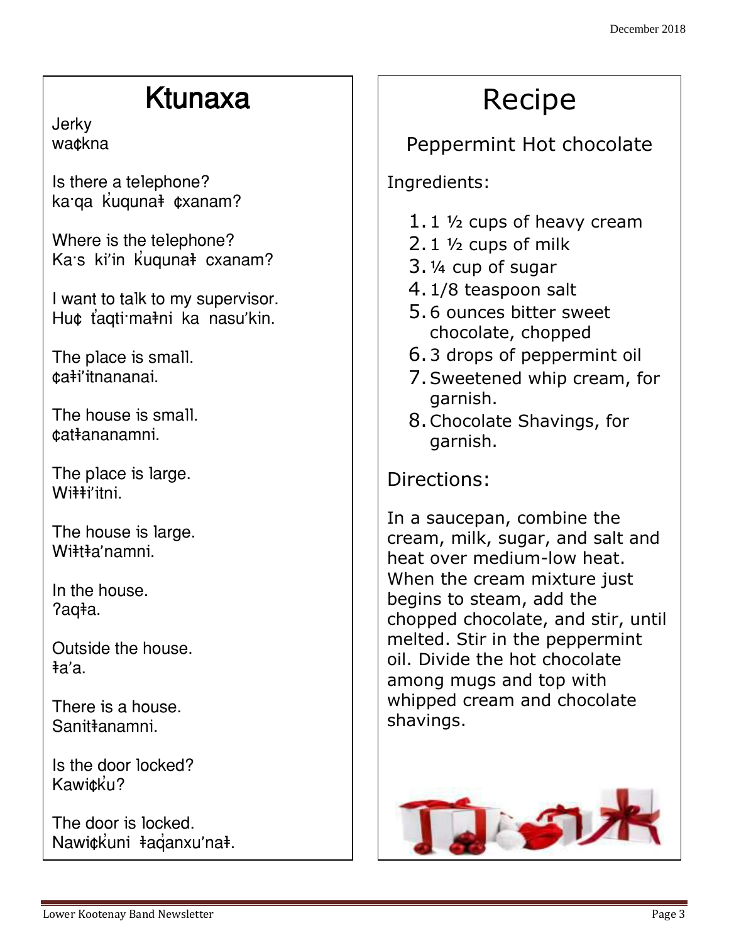## Ktunaxa

**Jerky** wa¢kna

Is there a telephone? ka qa kuquna ‡¢xanam?

Where is the telephone? Ka:s ki'in kuquna<sup>‡</sup> cxanam?

I want to talk to my supervisor. Hu¢ ťaqti·ma‡ni ka nasu'kin.

The place is small. ƒa‰i'itnananai.

The house is small. ƒat‰ananamni.

The place is large. Wi##i'itni.

The house is large. Wiitta'namni.

In the house. ?aqła.

Outside the house. ‰a'a.

There is a house. Sanit<del></del>anamni.

Is the door locked? Kawitku?

The door is locked. Nawi¢kuni ‡aganxu'na<sup>‡</sup>.

# Recipe

### Peppermint Hot chocolate

Ingredients:

- 1.1 ½ cups of heavy cream
- 2.1 ½ cups of milk
- 3.¼ cup of sugar
- 4.1/8 teaspoon salt
- 5.6 ounces bitter sweet chocolate, chopped
- 6.3 drops of peppermint oil
- 7.Sweetened whip cream, for garnish.
- 8.Chocolate Shavings, for garnish.

Directions:

In a saucepan, combine the cream, milk, sugar, and salt and heat over medium-low heat. When the cream mixture just begins to steam, add the chopped chocolate, and stir, until melted. Stir in the peppermint oil. Divide the hot chocolate among mugs and top with whipped cream and chocolate shavings.

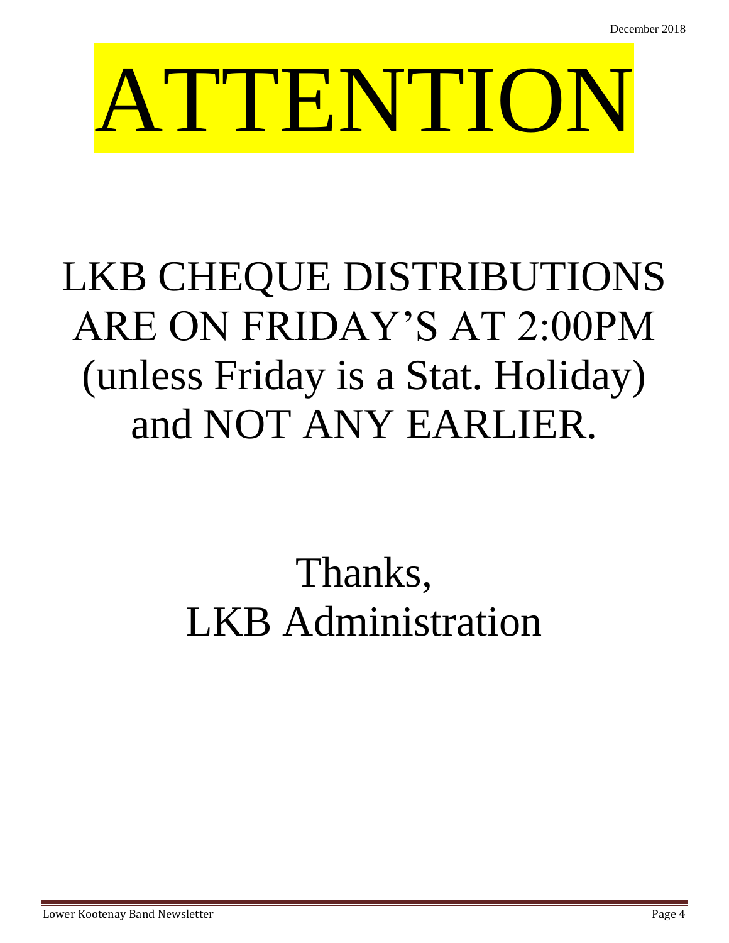# ATTENTION

# LKB CHEQUE DISTRIBUTIONS ARE ON FRIDAY'S AT 2:00PM (unless Friday is a Stat. Holiday) and NOT ANY EARLIER.

# Thanks, LKB Administration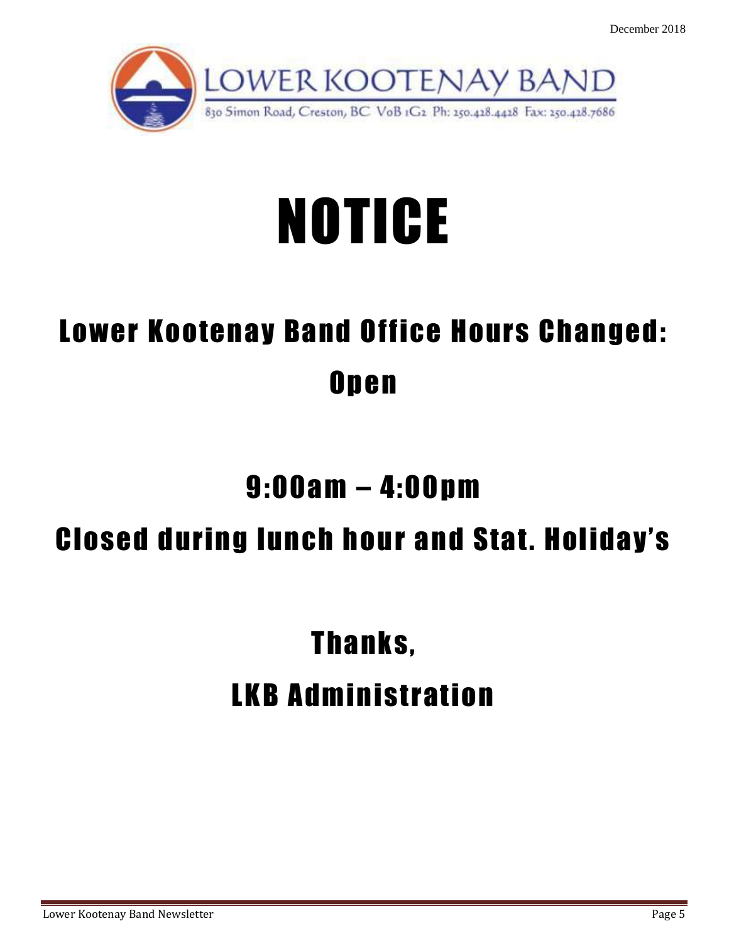

# NOTICE

# Lower Kootenay Band Office Hours Changed: **Open**

# 9:00am – 4:00pm

# Closed during lunch hour and Stat. Holiday's

# Thanks, LKB Administration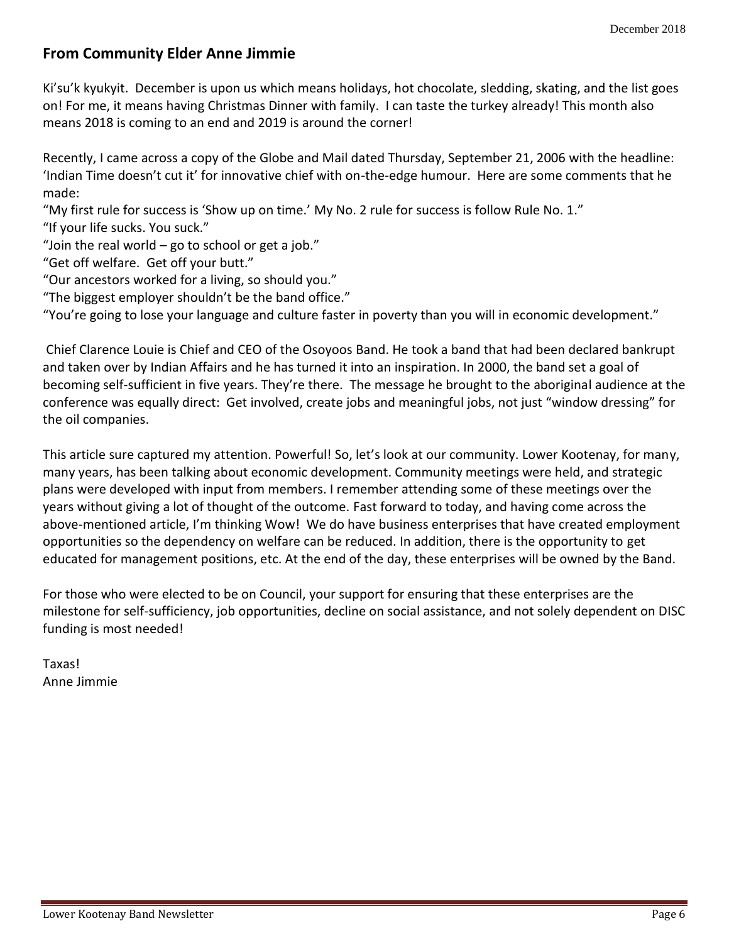#### **From Community Elder Anne Jimmie**

Ki'su'k kyukyit. December is upon us which means holidays, hot chocolate, sledding, skating, and the list goes on! For me, it means having Christmas Dinner with family. I can taste the turkey already! This month also means 2018 is coming to an end and 2019 is around the corner!

Recently, I came across a copy of the Globe and Mail dated Thursday, September 21, 2006 with the headline: 'Indian Time doesn't cut it' for innovative chief with on-the-edge humour. Here are some comments that he made:

"My first rule for success is 'Show up on time.' My No. 2 rule for success is follow Rule No. 1." "If your life sucks. You suck."

"Join the real world  $-$  go to school or get a job."

"Get off welfare. Get off your butt."

"Our ancestors worked for a living, so should you."

"The biggest employer shouldn't be the band office."

"You're going to lose your language and culture faster in poverty than you will in economic development."

Chief Clarence Louie is Chief and CEO of the Osoyoos Band. He took a band that had been declared bankrupt and taken over by Indian Affairs and he has turned it into an inspiration. In 2000, the band set a goal of becoming self-sufficient in five years. They're there. The message he brought to the aboriginal audience at the conference was equally direct: Get involved, create jobs and meaningful jobs, not just "window dressing" for the oil companies.

This article sure captured my attention. Powerful! So, let's look at our community. Lower Kootenay, for many, many years, has been talking about economic development. Community meetings were held, and strategic plans were developed with input from members. I remember attending some of these meetings over the years without giving a lot of thought of the outcome. Fast forward to today, and having come across the above-mentioned article, I'm thinking Wow! We do have business enterprises that have created employment opportunities so the dependency on welfare can be reduced. In addition, there is the opportunity to get educated for management positions, etc. At the end of the day, these enterprises will be owned by the Band.

For those who were elected to be on Council, your support for ensuring that these enterprises are the milestone for self-sufficiency, job opportunities, decline on social assistance, and not solely dependent on DISC funding is most needed!

Taxas! Anne Jimmie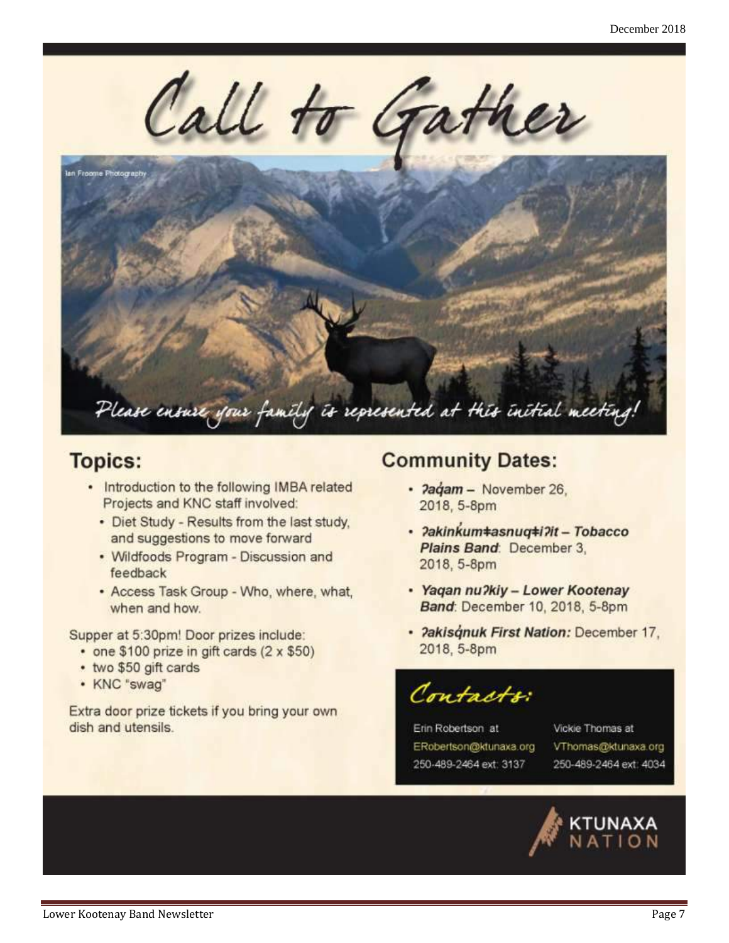

#### **Topics:**

- Introduction to the following IMBA related Projects and KNC staff involved:
	- Diet Study Results from the last study, and suggestions to move forward
	- Wildfoods Program Discussion and feedback
	- Access Task Group Who, where, what, when and how.

Supper at 5:30pm! Door prizes include:

- one \$100 prize in gift cards (2 x \$50)
- two \$50 gift cards
- KNC "swag"

Extra door prize tickets if you bring your own dish and utensils.

#### **Community Dates:**

- Pagam November 26, 2018, 5-8pm
- · ?akinkum#asnuq#i?it Tobacco Plains Band: December 3, 2018, 5-8pm
- · Yaqan nu?kiy Lower Kootenay Band: December 10, 2018, 5-8pm
- · Pakisqnuk First Nation: December 17, 2018, 5-8pm

Contacts

Erin Robertson at ERobertson@ktunaxa.org 250-489-2464 ext: 3137

Vickie Thomas at VThomas@ktunaxa.org 250-489-2464 ext: 4034

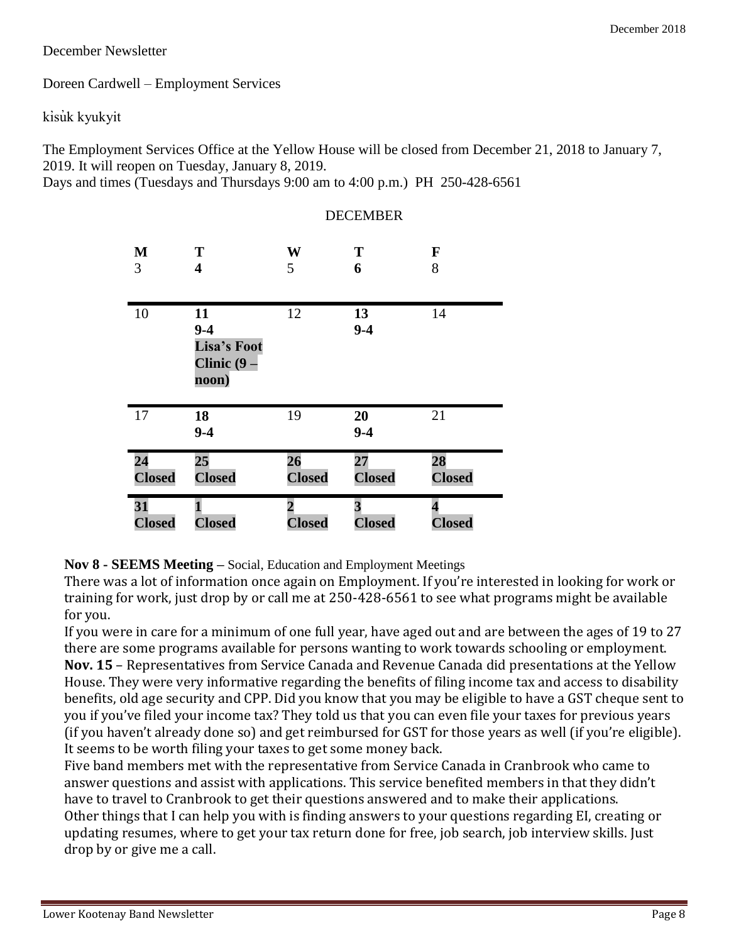#### December Newsletter

Doreen Cardwell – Employment Services

kisuk kyukyit

The Employment Services Office at the Yellow House will be closed from December 21, 2018 to January 7, 2019. It will reopen on Tuesday, January 8, 2019.

Days and times (Tuesdays and Thursdays 9:00 am to 4:00 p.m.) PH 250-428-6561

|               | DUCUMDU                                                |               |               |               |  |
|---------------|--------------------------------------------------------|---------------|---------------|---------------|--|
| M             | T                                                      | W             | T             | $\mathbf F$   |  |
| 3             | $\overline{\mathbf{4}}$                                | 5             | 6             | 8             |  |
| 10            | 11<br>$9 - 4$<br>Lisa's Foot<br>Clinic $(9 -$<br>noon) | 12            | 13<br>$9 - 4$ | 14            |  |
| 17            | 18<br>$9 - 4$                                          | 19            | 20<br>$9 - 4$ | 21            |  |
| 24            | 25                                                     | 26            | 27            | 28            |  |
| <b>Closed</b> | <b>Closed</b>                                          | <b>Closed</b> | <b>Closed</b> | <b>Closed</b> |  |
| 31            | <b>Closed</b>                                          | $\mathbf{2}$  | 3             | 4             |  |
| <b>Closed</b> |                                                        | <b>Closed</b> | <b>Closed</b> | <b>Closed</b> |  |

#### **DECEMBER**

**Nov 8 - SEEMS Meeting –** Social, Education and Employment Meetings

There was a lot of information once again on Employment. If you're interested in looking for work or training for work, just drop by or call me at 250-428-6561 to see what programs might be available for you.

If you were in care for a minimum of one full year, have aged out and are between the ages of 19 to 27 there are some programs available for persons wanting to work towards schooling or employment. **Nov. 15** – Representatives from Service Canada and Revenue Canada did presentations at the Yellow House. They were very informative regarding the benefits of filing income tax and access to disability benefits, old age security and CPP. Did you know that you may be eligible to have a GST cheque sent to you if you've filed your income tax? They told us that you can even file your taxes for previous years (if you haven't already done so) and get reimbursed for GST for those years as well (if you're eligible). It seems to be worth filing your taxes to get some money back.

Five band members met with the representative from Service Canada in Cranbrook who came to answer questions and assist with applications. This service benefited members in that they didn't have to travel to Cranbrook to get their questions answered and to make their applications. Other things that I can help you with is finding answers to your questions regarding EI, creating or updating resumes, where to get your tax return done for free, job search, job interview skills. Just drop by or give me a call.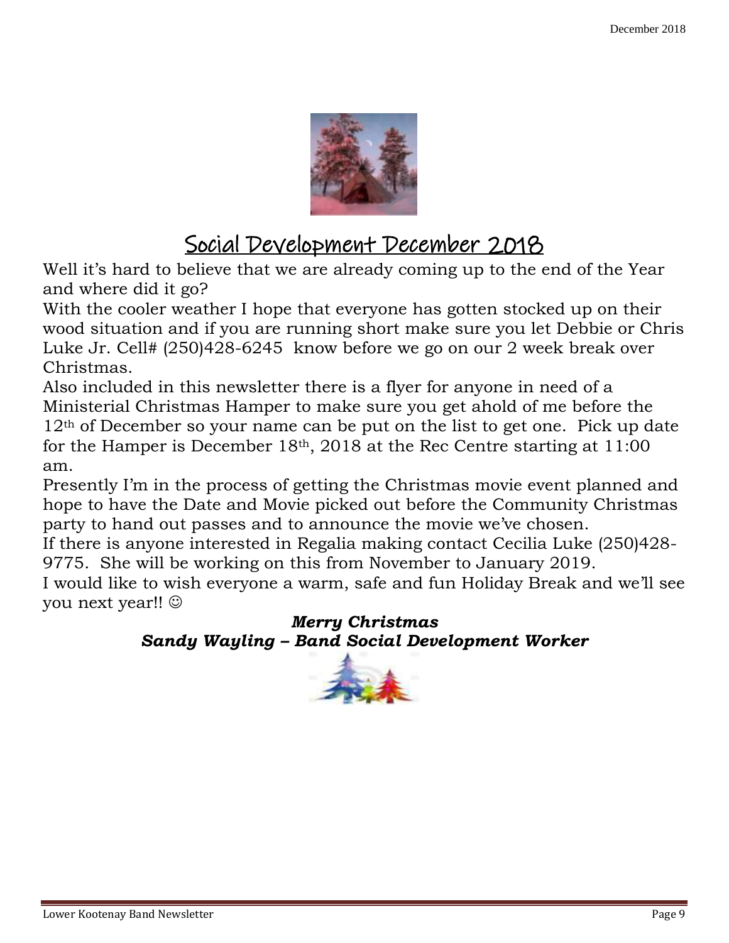

### Social Development December 2018

Well it's hard to believe that we are already coming up to the end of the Year and where did it go?

With the cooler weather I hope that everyone has gotten stocked up on their wood situation and if you are running short make sure you let Debbie or Chris Luke Jr. Cell# (250)428-6245 know before we go on our 2 week break over Christmas.

Also included in this newsletter there is a flyer for anyone in need of a Ministerial Christmas Hamper to make sure you get ahold of me before the 12<sup>th</sup> of December so your name can be put on the list to get one. Pick up date for the Hamper is December  $18<sup>th</sup>$ , 2018 at the Rec Centre starting at 11:00 am.

Presently I'm in the process of getting the Christmas movie event planned and hope to have the Date and Movie picked out before the Community Christmas party to hand out passes and to announce the movie we've chosen.

If there is anyone interested in Regalia making contact Cecilia Luke (250)428- 9775. She will be working on this from November to January 2019.

I would like to wish everyone a warm, safe and fun Holiday Break and we'll see you next year!!

#### *Merry Christmas Sandy Wayling – Band Social Development Worker*

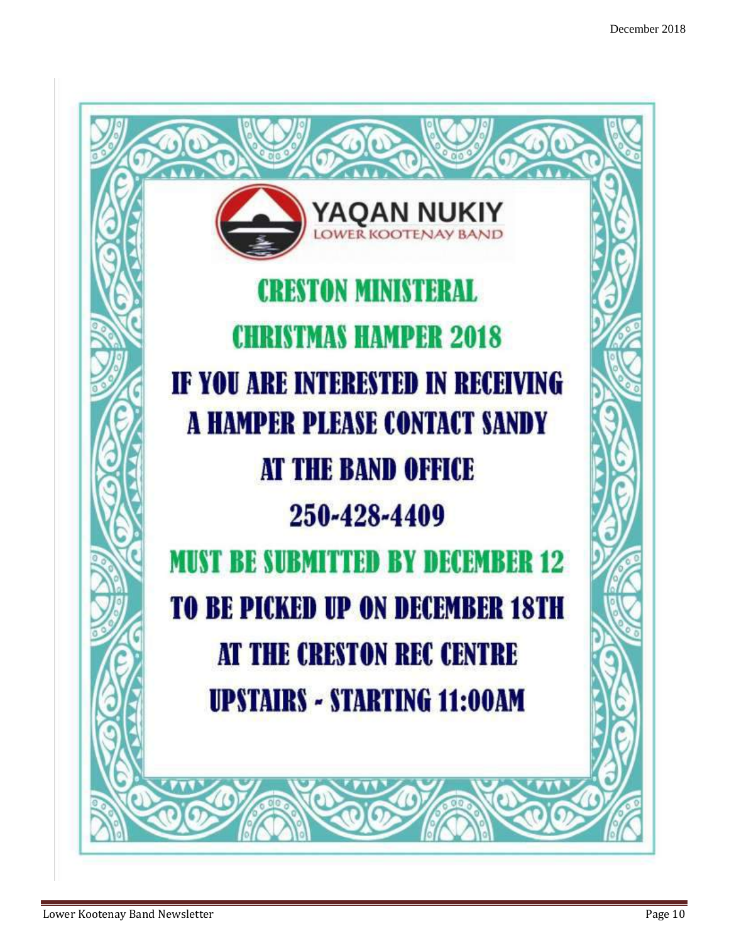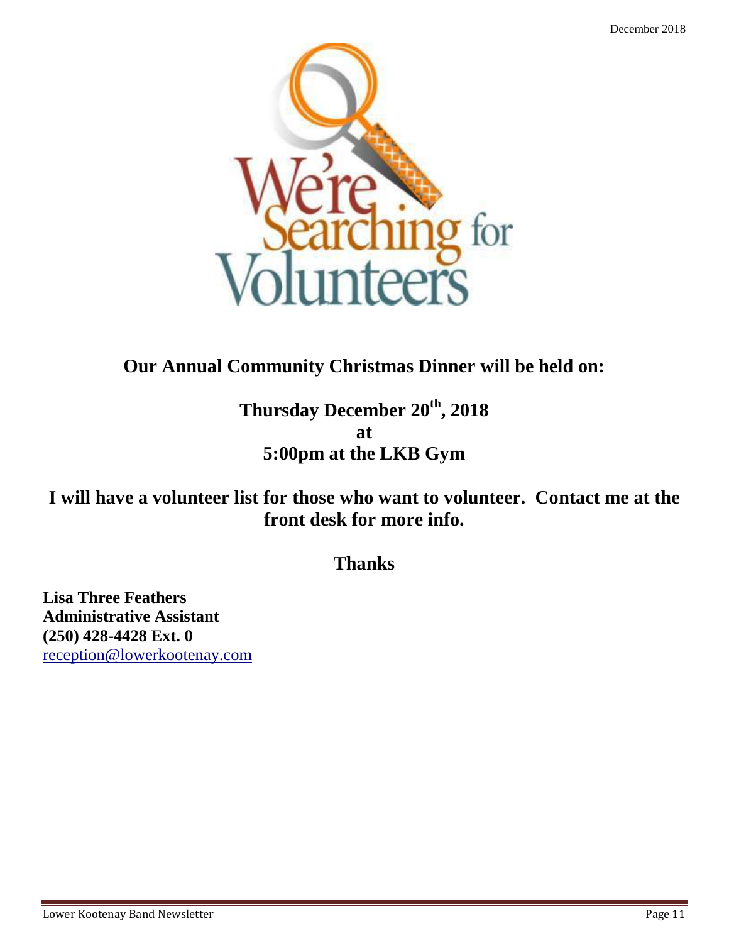

#### **Our Annual Community Christmas Dinner will be held on:**

**Thursday December 20th, 2018 at 5:00pm at the LKB Gym**

**I will have a volunteer list for those who want to volunteer. Contact me at the front desk for more info.**

**Thanks**

**Lisa Three Feathers Administrative Assistant (250) 428-4428 Ext. 0** [reception@lowerkootenay.com](mailto:reception@lowerkootenay.com)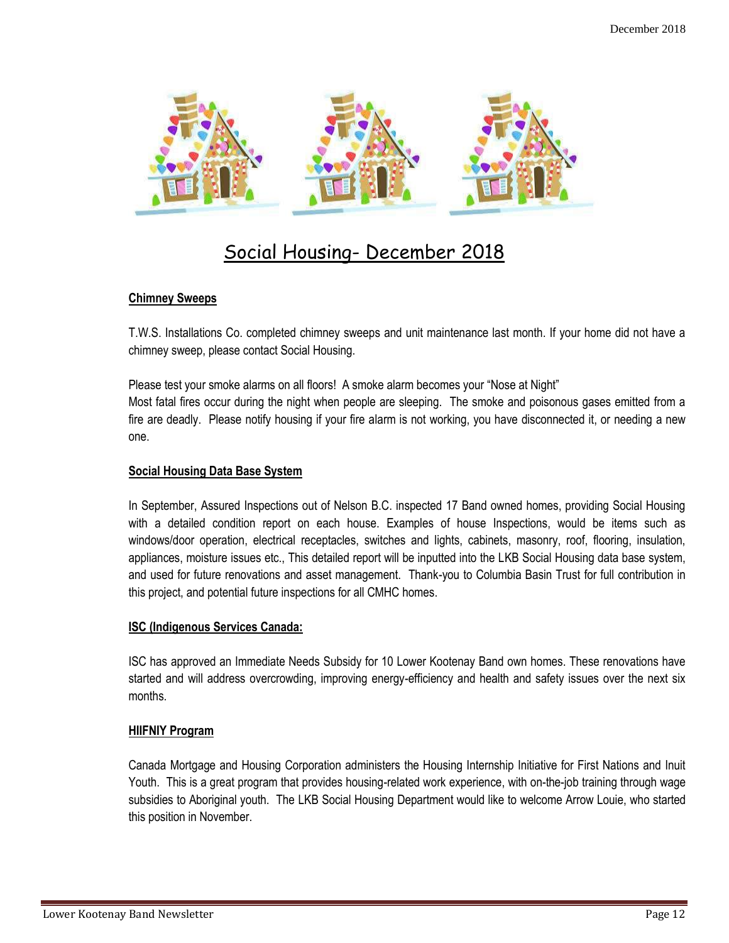

#### Social Housing- December 2018

#### **Chimney Sweeps**

T.W.S. Installations Co. completed chimney sweeps and unit maintenance last month. If your home did not have a chimney sweep, please contact Social Housing.

Please test your smoke alarms on all floors! A smoke alarm becomes your "Nose at Night" Most fatal fires occur during the night when people are sleeping. The smoke and poisonous gases emitted from a fire are deadly. Please notify housing if your fire alarm is not working, you have disconnected it, or needing a new one.

#### **Social Housing Data Base System**

In September, Assured Inspections out of Nelson B.C. inspected 17 Band owned homes, providing Social Housing with a detailed condition report on each house. Examples of house Inspections, would be items such as windows/door operation, electrical receptacles, switches and lights, cabinets, masonry, roof, flooring, insulation, appliances, moisture issues etc., This detailed report will be inputted into the LKB Social Housing data base system, and used for future renovations and asset management. Thank-you to Columbia Basin Trust for full contribution in this project, and potential future inspections for all CMHC homes.

#### **ISC (Indigenous Services Canada:**

ISC has approved an Immediate Needs Subsidy for 10 Lower Kootenay Band own homes. These renovations have started and will address overcrowding, improving energy-efficiency and health and safety issues over the next six months.

#### **HIIFNIY Program**

Canada Mortgage and Housing Corporation administers the Housing Internship Initiative for First Nations and Inuit Youth. This is a great program that provides housing-related work experience, with on-the-job training through wage subsidies to Aboriginal youth. The LKB Social Housing Department would like to welcome Arrow Louie, who started this position in November.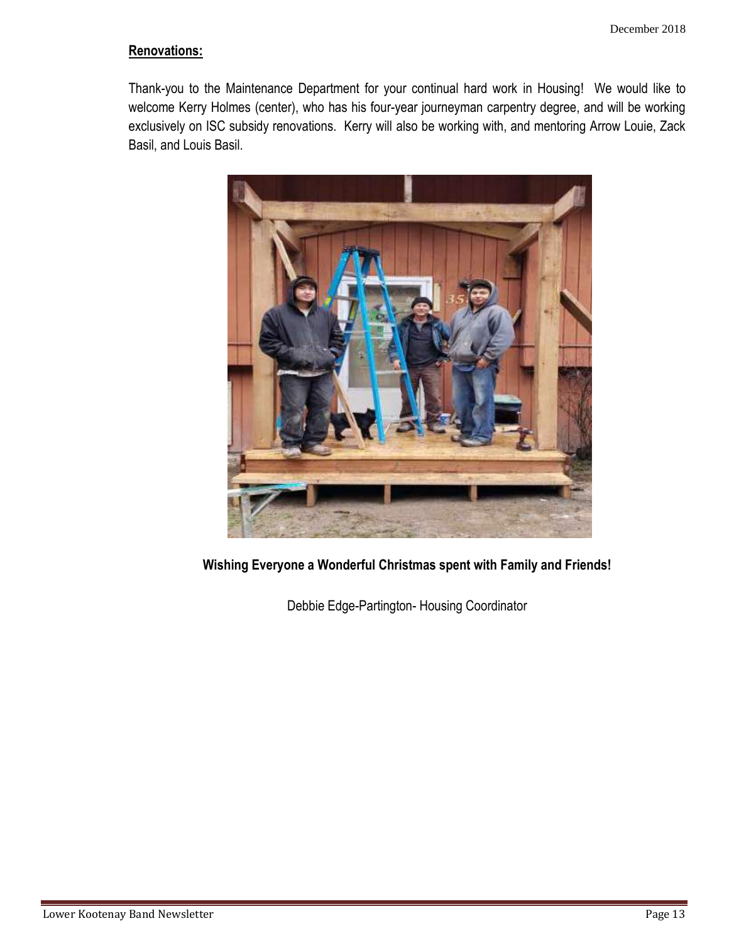#### **Renovations:**

Thank-you to the Maintenance Department for your continual hard work in Housing! We would like to welcome Kerry Holmes (center), who has his four-year journeyman carpentry degree, and will be working exclusively on ISC subsidy renovations. Kerry will also be working with, and mentoring Arrow Louie, Zack Basil, and Louis Basil.



**Wishing Everyone a Wonderful Christmas spent with Family and Friends!**

Debbie Edge-Partington- Housing Coordinator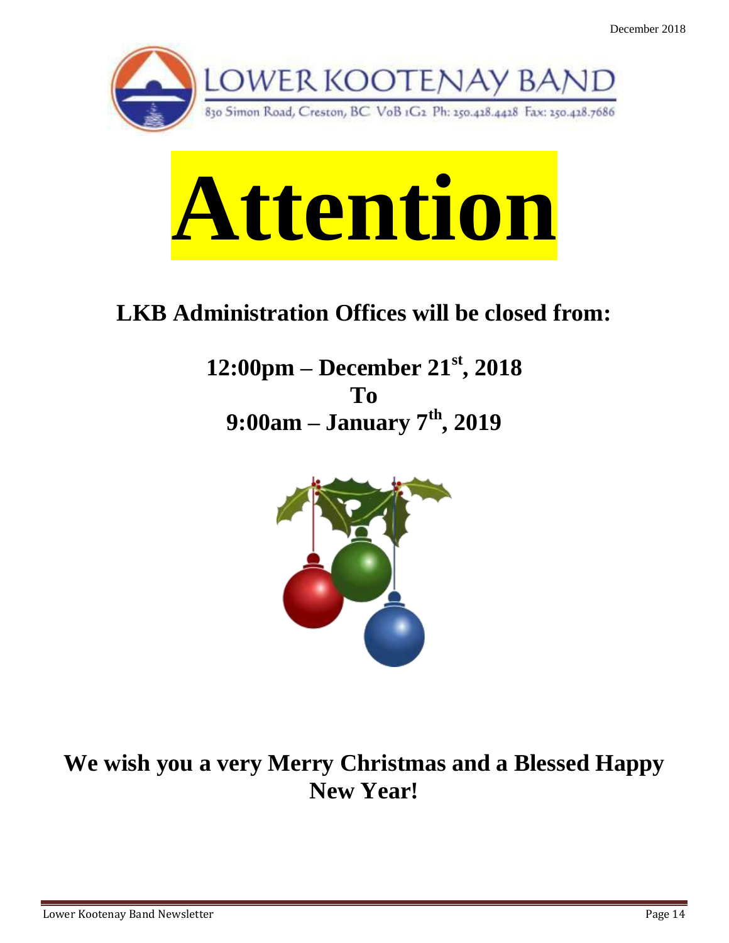



### **LKB Administration Offices will be closed from:**

**12:00pm – December 21st, 2018 To 9:00am – January 7th, 2019**



**We wish you a very Merry Christmas and a Blessed Happy New Year!**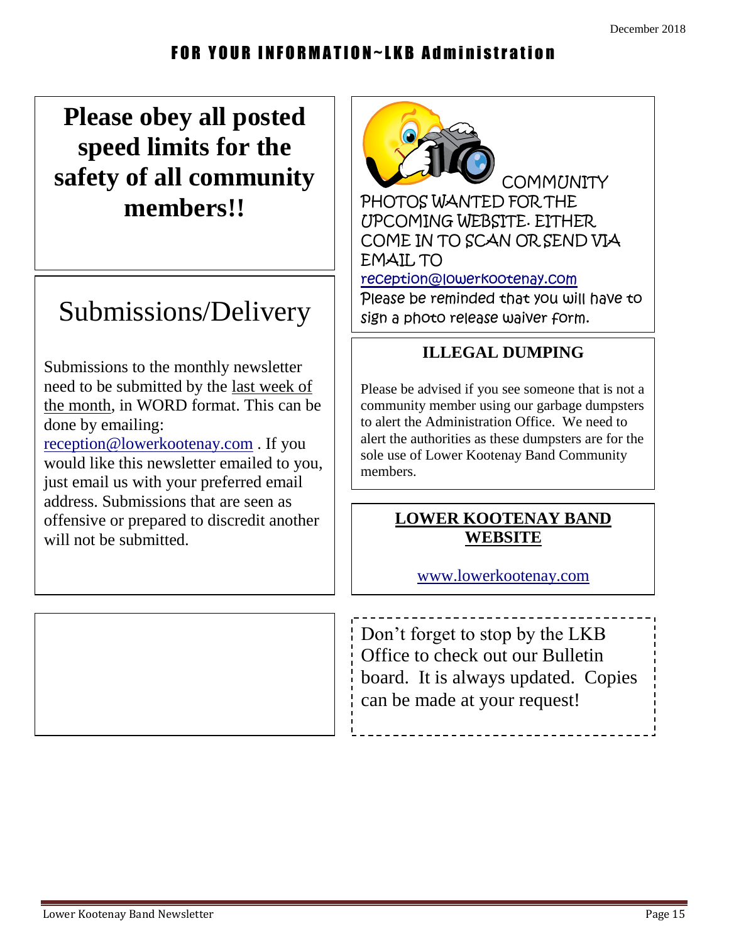#### FOR YOUR INFORMATION~LKB Administration

### **Please obey all posted speed limits for the safety of all community members!!**

### Submissions/Delivery

Submissions to the monthly newsletter need to be submitted by the last week of the month, in WORD format. This can be done by emailing: [reception@lowerkootenay.com](mailto:reception@lowerkootenay.com) . If you would like this newsletter emailed to you, just email us with your preferred email address. Submissions that are seen as offensive or prepared to discredit another will not be submitted.



#### **ILLEGAL DUMPING**

Please be advised if you see someone that is not a community member using our garbage dumpsters to alert the Administration Office. We need to alert the authorities as these dumpsters are for the sole use of Lower Kootenay Band Community members.

#### **LOWER KOOTENAY BAND WEBSITE**

[www.lowerkootenay.com](http://www.lowerkootenay.com/)

**Please join the LKB mailing list** Don't forget to stop by the LKB Office to check out our Bulletin board. It is always updated. Copies can be made at your request!